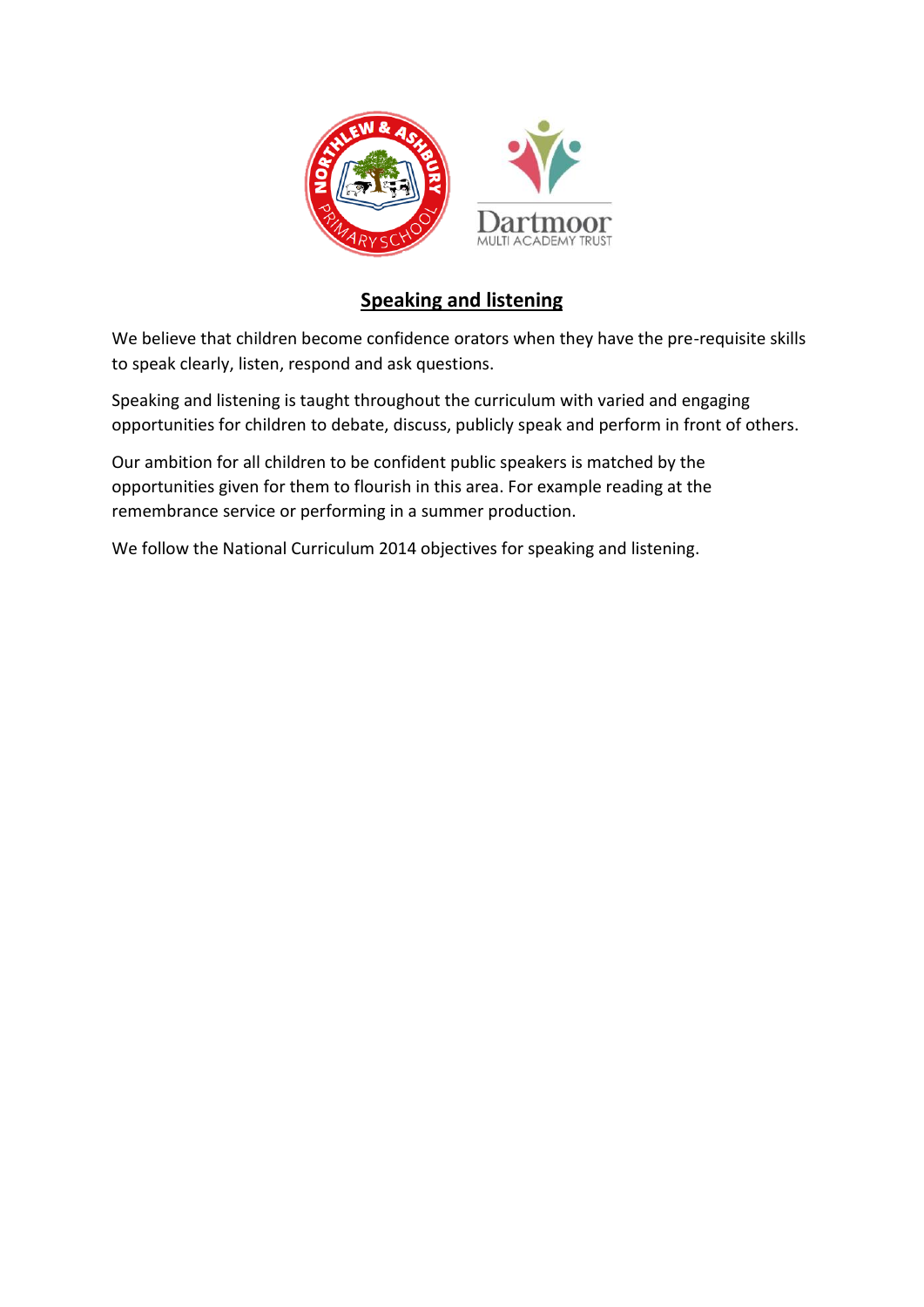

## **Speaking and listening**

We believe that children become confidence orators when they have the pre-requisite skills to speak clearly, listen, respond and ask questions.

Speaking and listening is taught throughout the curriculum with varied and engaging opportunities for children to debate, discuss, publicly speak and perform in front of others.

Our ambition for all children to be confident public speakers is matched by the opportunities given for them to flourish in this area. For example reading at the remembrance service or performing in a summer production.

We follow the National Curriculum 2014 objectives for speaking and listening.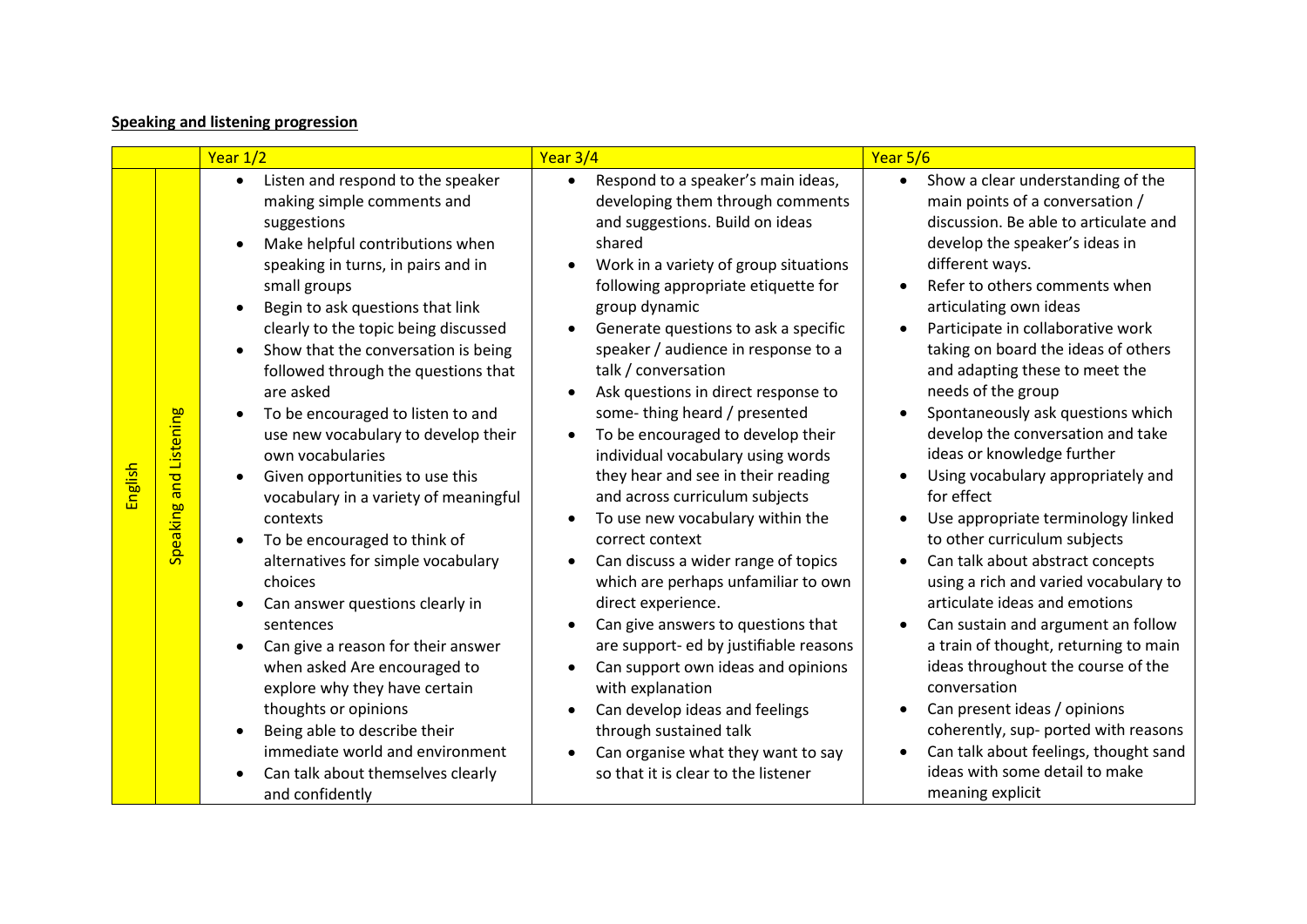## **Speaking and listening progression**

|                                   | Year 1/2                                                                                                                                                                                                                                                                                                                                                                                                                                                                                                                                                                                                                                                                                                                                                                                                                                                                                                                                                                 | Year 3/4                                                                                                                                                                                                                                                                                                                                                                                                                                                                                                                                                                                                                                                                                                                                                                                                                                                                                                                                                                                          | Year 5/6                                                                                                                                                                                                                                                                                                                                                                                                                                                                                                                                                                                                                                                                                                                                                                                                                                                                                                                                                                                                                                                             |
|-----------------------------------|--------------------------------------------------------------------------------------------------------------------------------------------------------------------------------------------------------------------------------------------------------------------------------------------------------------------------------------------------------------------------------------------------------------------------------------------------------------------------------------------------------------------------------------------------------------------------------------------------------------------------------------------------------------------------------------------------------------------------------------------------------------------------------------------------------------------------------------------------------------------------------------------------------------------------------------------------------------------------|---------------------------------------------------------------------------------------------------------------------------------------------------------------------------------------------------------------------------------------------------------------------------------------------------------------------------------------------------------------------------------------------------------------------------------------------------------------------------------------------------------------------------------------------------------------------------------------------------------------------------------------------------------------------------------------------------------------------------------------------------------------------------------------------------------------------------------------------------------------------------------------------------------------------------------------------------------------------------------------------------|----------------------------------------------------------------------------------------------------------------------------------------------------------------------------------------------------------------------------------------------------------------------------------------------------------------------------------------------------------------------------------------------------------------------------------------------------------------------------------------------------------------------------------------------------------------------------------------------------------------------------------------------------------------------------------------------------------------------------------------------------------------------------------------------------------------------------------------------------------------------------------------------------------------------------------------------------------------------------------------------------------------------------------------------------------------------|
| Speaking and Listening<br>English | Listen and respond to the speaker<br>$\bullet$<br>making simple comments and<br>suggestions<br>Make helpful contributions when<br>speaking in turns, in pairs and in<br>small groups<br>Begin to ask questions that link<br>clearly to the topic being discussed<br>Show that the conversation is being<br>followed through the questions that<br>are asked<br>To be encouraged to listen to and<br>use new vocabulary to develop their<br>own vocabularies<br>Given opportunities to use this<br>$\bullet$<br>vocabulary in a variety of meaningful<br>contexts<br>To be encouraged to think of<br>$\bullet$<br>alternatives for simple vocabulary<br>choices<br>Can answer questions clearly in<br>sentences<br>Can give a reason for their answer<br>when asked Are encouraged to<br>explore why they have certain<br>thoughts or opinions<br>Being able to describe their<br>immediate world and environment<br>Can talk about themselves clearly<br>and confidently | Respond to a speaker's main ideas,<br>developing them through comments<br>and suggestions. Build on ideas<br>shared<br>Work in a variety of group situations<br>following appropriate etiquette for<br>group dynamic<br>Generate questions to ask a specific<br>speaker / audience in response to a<br>talk / conversation<br>Ask questions in direct response to<br>some-thing heard / presented<br>To be encouraged to develop their<br>individual vocabulary using words<br>they hear and see in their reading<br>and across curriculum subjects<br>To use new vocabulary within the<br>correct context<br>Can discuss a wider range of topics<br>which are perhaps unfamiliar to own<br>direct experience.<br>Can give answers to questions that<br>are support- ed by justifiable reasons<br>Can support own ideas and opinions<br>with explanation<br>Can develop ideas and feelings<br>through sustained talk<br>Can organise what they want to say<br>so that it is clear to the listener | Show a clear understanding of the<br>$\bullet$<br>main points of a conversation /<br>discussion. Be able to articulate and<br>develop the speaker's ideas in<br>different ways.<br>Refer to others comments when<br>articulating own ideas<br>Participate in collaborative work<br>taking on board the ideas of others<br>and adapting these to meet the<br>needs of the group<br>Spontaneously ask questions which<br>$\bullet$<br>develop the conversation and take<br>ideas or knowledge further<br>Using vocabulary appropriately and<br>for effect<br>Use appropriate terminology linked<br>to other curriculum subjects<br>Can talk about abstract concepts<br>using a rich and varied vocabulary to<br>articulate ideas and emotions<br>Can sustain and argument an follow<br>$\bullet$<br>a train of thought, returning to main<br>ideas throughout the course of the<br>conversation<br>Can present ideas / opinions<br>coherently, sup- ported with reasons<br>Can talk about feelings, thought sand<br>ideas with some detail to make<br>meaning explicit |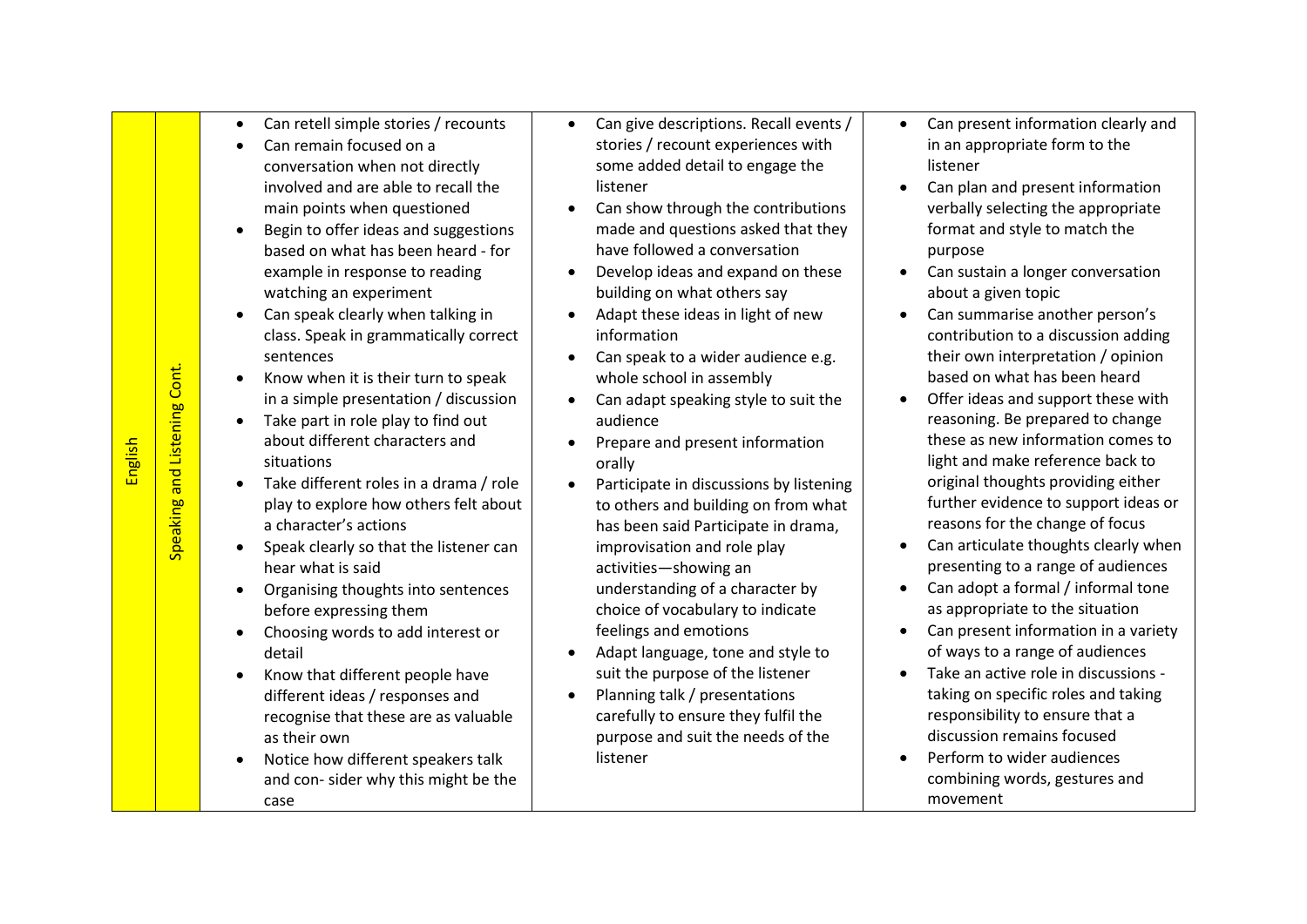| Speaking and Listening Cont. | Can remain focused on a<br>conversation when not directly<br>involved and are able to recall the<br>main points when questioned<br>Begin to offer ideas and suggestions<br>based on what has been heard - for<br>example in response to reading<br>watching an experiment<br>Can speak clearly when talking in<br>class. Speak in grammatically correct<br>sentences<br>Know when it is their turn to speak<br>in a simple presentation / discussion<br>Take part in role play to find out<br>about different characters and<br>situations<br>Take different roles in a drama / role<br>play to explore how others felt about<br>a character's actions<br>Speak clearly so that the listener can<br>hear what is said<br>Organising thoughts into sentences<br>before expressing them<br>Choosing words to add interest or<br>detail<br>Know that different people have<br>different ideas / responses and<br>recognise that these are as valuable<br>as their own<br>Notice how different speakers talk<br>and con-sider why this might be the<br>case |                                      |
|------------------------------|---------------------------------------------------------------------------------------------------------------------------------------------------------------------------------------------------------------------------------------------------------------------------------------------------------------------------------------------------------------------------------------------------------------------------------------------------------------------------------------------------------------------------------------------------------------------------------------------------------------------------------------------------------------------------------------------------------------------------------------------------------------------------------------------------------------------------------------------------------------------------------------------------------------------------------------------------------------------------------------------------------------------------------------------------------|--------------------------------------|
|                              |                                                                                                                                                                                                                                                                                                                                                                                                                                                                                                                                                                                                                                                                                                                                                                                                                                                                                                                                                                                                                                                         | Can retell simple stories / recounts |

English

- Can give descriptions. Recall events / stories / recount experiences with some added detail to engage the listener
- Can show through the contributions made and questions asked that they have followed a conversation
- Develop ideas and expand on these building on what others say
- Adapt these ideas in light of new information
- Can speak to a wider audience e.g. whole school in assembly
- Can adapt speaking style to suit the audience
- Prepare and present information orally
- Participate in discussions by listening to others and building on from what has been said Participate in drama, improvisation and role play activities —showing an understanding of a character by choice of vocabulary to indicate feelings and emotions
- Adapt language, tone and style to suit the purpose of the listener
- Planning talk / presentations carefully to ensure they fulfil the purpose and suit the needs of the listener
- Can present information clearly and in an appropriate form to the listener
- Can plan and present information verbally selecting the appropriate format and style to match the purpose
- Can sustain a longer conversation about a given topic
- Can summarise another person's contribution to a discussion adding their own interpretation / opinion based on what has been heard
- Offer ideas and support these with reasoning. Be prepared to change these as new information comes to light and make reference back to original thoughts providing either further evidence to support ideas or reasons for the change of focus
- Can articulate thoughts clearly when presenting to a range of audiences
- Can adopt a formal / informal tone as appropriate to the situation
- Can present information in a variety of ways to a range of audiences
- Take an active role in discussions taking on specific roles and taking responsibility to ensure that a discussion remains focused
- Perform to wider audiences combining words, gestures and movement